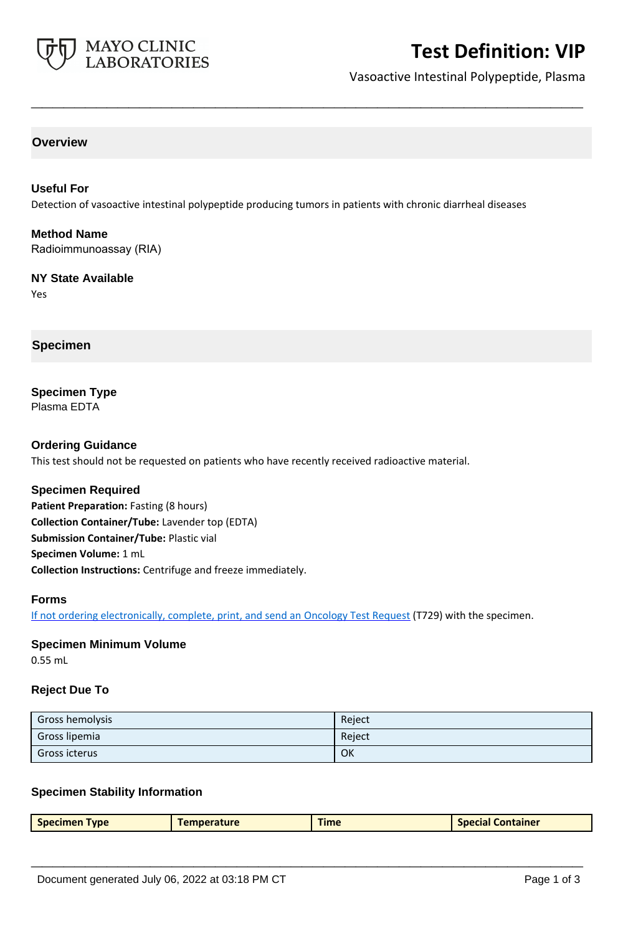

# **Test Definition: VIP**

Vasoactive Intestinal Polypeptide, Plasma

### **Overview**

## **Useful For** Detection of vasoactive intestinal polypeptide producing tumors in patients with chronic diarrheal diseases

**\_\_\_\_\_\_\_\_\_\_\_\_\_\_\_\_\_\_\_\_\_\_\_\_\_\_\_\_\_\_\_\_\_\_\_\_\_\_\_\_\_\_\_\_\_\_\_\_\_\_\_**

#### **Method Name** Radioimmunoassay (RIA)

#### **NY State Available** Yes

**Specimen**

# **Specimen Type**

Plasma EDTA

### **Ordering Guidance**

This test should not be requested on patients who have recently received radioactive material.

#### **Specimen Required**

Patient Preparation: Fasting (8 hours) **Collection Container/Tube:** Lavender top (EDTA) **Submission Container/Tube:** Plastic vial **Specimen Volume:** 1 mL **Collection Instructions:** Centrifuge and freeze immediately.

#### **Forms**

If not ordering electronically, complete, print, and send an [Oncology Test Request](https://www.mayocliniclabs.com/it-mmfiles/oncology-request-form.pdf) (T729) with the specimen.

# **Specimen Minimum Volume**

0.55 mL

#### **Reject Due To**

| Gross hemolysis | Reject |
|-----------------|--------|
| Gross lipemia   | Reject |
| Gross icterus   | OK     |

#### **Specimen Stability Information**

| <b>Specimen Type</b><br>Time<br><b>Special Container</b><br><b>Temperature</b> |
|--------------------------------------------------------------------------------|
|--------------------------------------------------------------------------------|

**\_\_\_\_\_\_\_\_\_\_\_\_\_\_\_\_\_\_\_\_\_\_\_\_\_\_\_\_\_\_\_\_\_\_\_\_\_\_\_\_\_\_\_\_\_\_\_\_\_\_\_**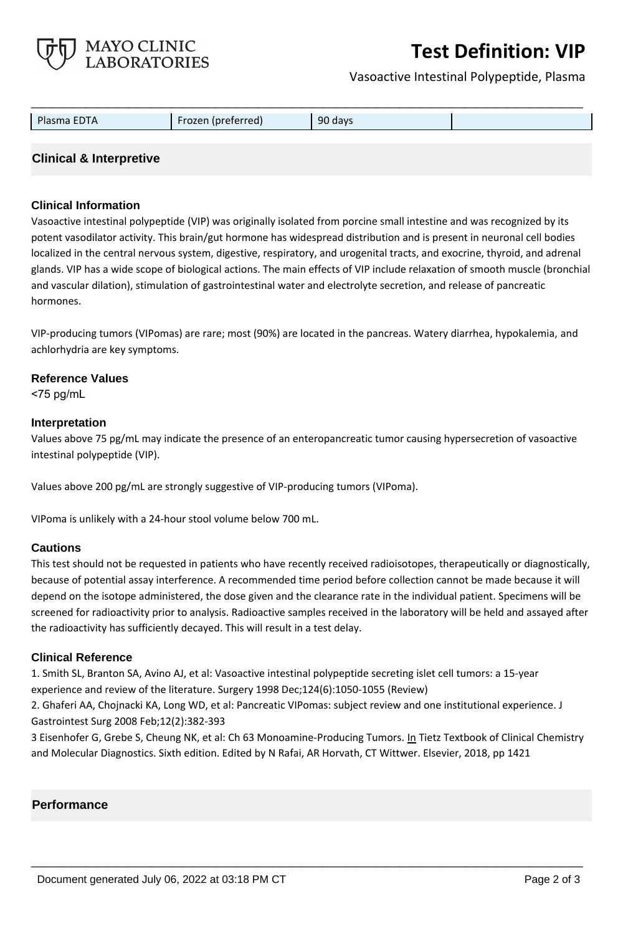

# **Test Definition: VIP**

Vasoactive Intestinal Polypeptide, Plasma

| Plasma EDTA | Frozen (preferred) | 90 days |  |
|-------------|--------------------|---------|--|
|             |                    |         |  |

## **Clinical & Interpretive**

### **Clinical Information**

Vasoactive intestinal polypeptide (VIP) was originally isolated from porcine small intestine and was recognized by its potent vasodilator activity. This brain/gut hormone has widespread distribution and is present in neuronal cell bodies localized in the central nervous system, digestive, respiratory, and urogenital tracts, and exocrine, thyroid, and adrenal glands. VIP has a wide scope of biological actions. The main effects of VIP include relaxation of smooth muscle (bronchial and vascular dilation), stimulation of gastrointestinal water and electrolyte secretion, and release of pancreatic hormones.

VIP-producing tumors (VIPomas) are rare; most (90%) are located in the pancreas. Watery diarrhea, hypokalemia, and achlorhydria are key symptoms.

#### **Reference Values**

<75 pg/mL

#### **Interpretation**

Values above 75 pg/mL may indicate the presence of an enteropancreatic tumor causing hypersecretion of vasoactive intestinal polypeptide (VIP).

Values above 200 pg/mL are strongly suggestive of VIP-producing tumors (VIPoma).

VIPoma is unlikely with a 24-hour stool volume below 700 mL.

#### **Cautions**

This test should not be requested in patients who have recently received radioisotopes, therapeutically or diagnostically, because of potential assay interference. A recommended time period before collection cannot be made because it will depend on the isotope administered, the dose given and the clearance rate in the individual patient. Specimens will be screened for radioactivity prior to analysis. Radioactive samples received in the laboratory will be held and assayed after the radioactivity has sufficiently decayed. This will result in a test delay.

#### **Clinical Reference**

1. Smith SL, Branton SA, Avino AJ, et al: Vasoactive intestinal polypeptide secreting islet cell tumors: a 15-year experience and review of the literature. Surgery 1998 Dec;124(6):1050-1055 (Review)

2. Ghaferi AA, Chojnacki KA, Long WD, et al: Pancreatic VIPomas: subject review and one institutional experience. J Gastrointest Surg 2008 Feb;12(2):382-393

3 Eisenhofer G, Grebe S, Cheung NK, et al: Ch 63 Monoamine-Producing Tumors. In Tietz Textbook of Clinical Chemistry and Molecular Diagnostics. Sixth edition. Edited by N Rafai, AR Horvath, CT Wittwer. Elsevier, 2018, pp 1421

**\_\_\_\_\_\_\_\_\_\_\_\_\_\_\_\_\_\_\_\_\_\_\_\_\_\_\_\_\_\_\_\_\_\_\_\_\_\_\_\_\_\_\_\_\_\_\_\_\_\_\_**

#### **Performance**